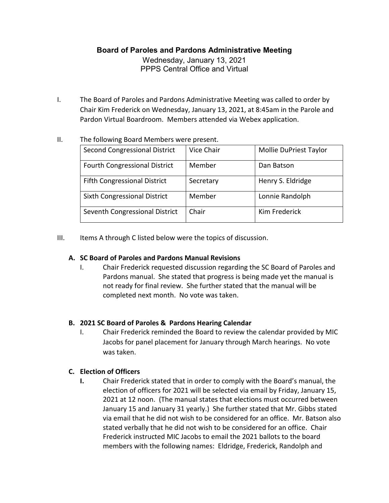## **Board of Paroles and Pardons Administrative Meeting**

Wednesday, January 13, 2021 PPPS Central Office and Virtual

I. The Board of Paroles and Pardons Administrative Meeting was called to order by Chair Kim Frederick on Wednesday, January 13, 2021, at 8:45am in the Parole and Pardon Virtual Boardroom. Members attended via Webex application.

| THE TUITUMING DUCTU INTERNATION WELF DI ESENT. |            |                        |  |
|------------------------------------------------|------------|------------------------|--|
| Second Congressional District                  | Vice Chair | Mollie DuPriest Taylor |  |
| <b>Fourth Congressional District</b>           | Member     | Dan Batson             |  |
| <b>Fifth Congressional District</b>            | Secretary  | Henry S. Eldridge      |  |
| Sixth Congressional District                   | Member     | Lonnie Randolph        |  |
| Seventh Congressional District                 | Chair      | Kim Frederick          |  |

#### II. The following Board Members were present.

III. Items A through C listed below were the topics of discussion.

### **A. SC Board of Paroles and Pardons Manual Revisions**

I. Chair Frederick requested discussion regarding the SC Board of Paroles and Pardons manual. She stated that progress is being made yet the manual is not ready for final review. She further stated that the manual will be completed next month. No vote was taken.

### **B. 2021 SC Board of Paroles & Pardons Hearing Calendar**

I. Chair Frederick reminded the Board to review the calendar provided by MIC Jacobs for panel placement for January through March hearings. No vote was taken.

### **C. Election of Officers**

**I.** Chair Frederick stated that in order to comply with the Board's manual, the election of officers for 2021 will be selected via email by Friday, January 15, 2021 at 12 noon. (The manual states that elections must occurred between January 15 and January 31 yearly.) She further stated that Mr. Gibbs stated via email that he did not wish to be considered for an office. Mr. Batson also stated verbally that he did not wish to be considered for an office. Chair Frederick instructed MIC Jacobs to email the 2021 ballots to the board members with the following names: Eldridge, Frederick, Randolph and